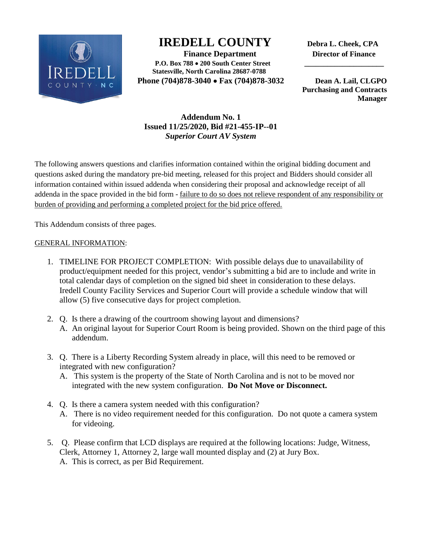

## **IREDELL COUNTY Debra L. Cheek, CPA**

 **Finance Department Director of Finance P.O. Box 788 200 South Center Street \_\_\_\_\_\_\_\_\_\_\_\_\_\_\_\_\_\_\_\_\_ Statesville, North Carolina 28687-0788 Phone (704)878-3040 Fax (704)878-3032 Dean A. Lail, CLGPO** 

 **Purchasing and Contracts Manager**

## **Addendum No. 1 Issued 11/25/2020, Bid #21-455-IP--01** *Superior Court AV System*

The following answers questions and clarifies information contained within the original bidding document and questions asked during the mandatory pre-bid meeting, released for this project and Bidders should consider all information contained within issued addenda when considering their proposal and acknowledge receipt of all addenda in the space provided in the bid form - failure to do so does not relieve respondent of any responsibility or burden of providing and performing a completed project for the bid price offered.

This Addendum consists of three pages.

## GENERAL INFORMATION:

- 1. TIMELINE FOR PROJECT COMPLETION: With possible delays due to unavailability of product/equipment needed for this project, vendor's submitting a bid are to include and write in total calendar days of completion on the signed bid sheet in consideration to these delays. Iredell County Facility Services and Superior Court will provide a schedule window that will allow (5) five consecutive days for project completion.
- 2. Q. Is there a drawing of the courtroom showing layout and dimensions? A. An original layout for Superior Court Room is being provided. Shown on the third page of this addendum.
- 3. Q. There is a Liberty Recording System already in place, will this need to be removed or integrated with new configuration?
	- A. This system is the property of the State of North Carolina and is not to be moved nor integrated with the new system configuration. **Do Not Move or Disconnect.**
- 4. Q. Is there a camera system needed with this configuration?
	- A. There is no video requirement needed for this configuration. Do not quote a camera system for videoing.
- 5. Q. Please confirm that LCD displays are required at the following locations: Judge, Witness, Clerk, Attorney 1, Attorney 2, large wall mounted display and (2) at Jury Box. A. This is correct, as per Bid Requirement.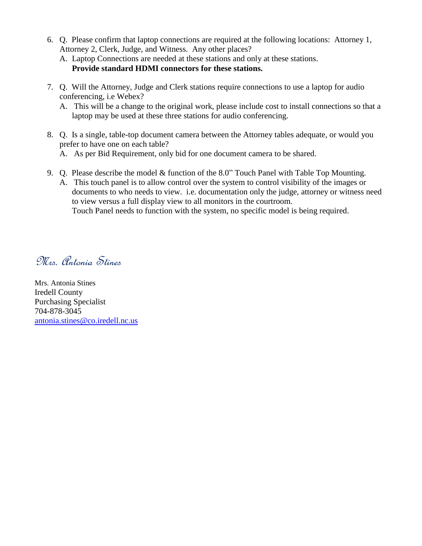- 6. Q. Please confirm that laptop connections are required at the following locations: Attorney 1, Attorney 2, Clerk, Judge, and Witness. Any other places?
	- A. Laptop Connections are needed at these stations and only at these stations. **Provide standard HDMI connectors for these stations.**
- 7. Q. Will the Attorney, Judge and Clerk stations require connections to use a laptop for audio conferencing, i.e Webex?
	- A. This will be a change to the original work, please include cost to install connections so that a laptop may be used at these three stations for audio conferencing.
- 8. Q. Is a single, table-top document camera between the Attorney tables adequate, or would you prefer to have one on each table?

A. As per Bid Requirement, only bid for one document camera to be shared.

- 9. Q. Please describe the model & function of the 8.0" Touch Panel with Table Top Mounting.
	- A. This touch panel is to allow control over the system to control visibility of the images or documents to who needs to view. i.e. documentation only the judge, attorney or witness need to view versus a full display view to all monitors in the courtroom. Touch Panel needs to function with the system, no specific model is being required.

Mrs. Antonia Stines

Mrs. Antonia Stines Iredell County Purchasing Specialist 704-878-3045 [antonia.stines@co.iredell.nc.us](mailto:antonia.stines@co.iredell.nc.us)